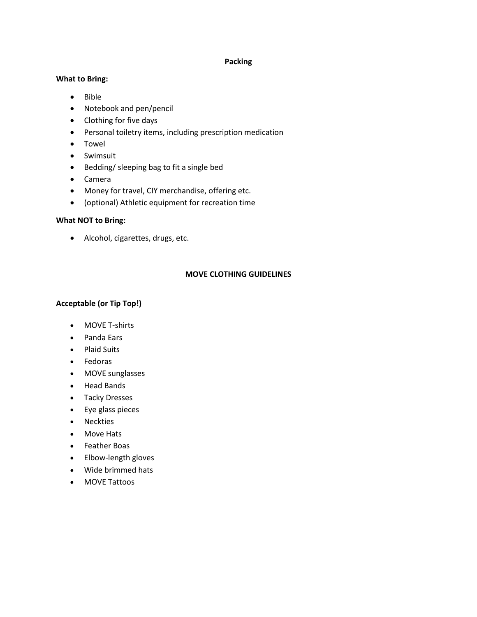### **Packing**

## **What to Bring:**

- Bible
- Notebook and pen/pencil
- Clothing for five days
- Personal toiletry items, including prescription medication
- Towel
- Swimsuit
- Bedding/ sleeping bag to fit a single bed
- Camera
- Money for travel, CIY merchandise, offering etc.
- (optional) Athletic equipment for recreation time

# **What NOT to Bring:**

• Alcohol, cigarettes, drugs, etc.

# **MOVE CLOTHING GUIDELINES**

# **Acceptable (or Tip Top!)**

- MOVE T-shirts
- Panda Ears
- Plaid Suits
- Fedoras
- MOVE sunglasses
- Head Bands
- Tacky Dresses
- Eye glass pieces
- Neckties
- Move Hats
- Feather Boas
- Elbow-length gloves
- Wide brimmed hats
- MOVE Tattoos